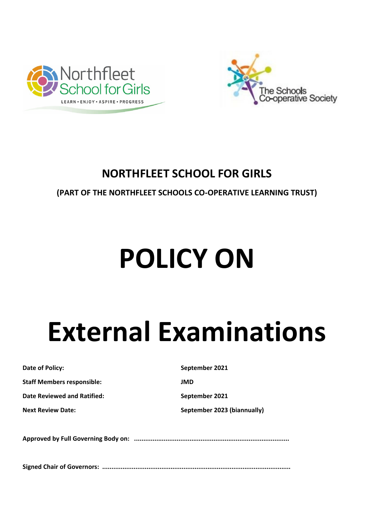



## **NORTHFLEET SCHOOL FOR GIRLS**

## **(PART OF THE NORTHFLEET SCHOOLS CO-OPERATIVE LEARNING TRUST)**

# **POLICY ON**

## **External Examinations**

**Staff Members responsible: JMD**

**Date Reviewed and Ratified:** September 2021

**Date of Policy:** September 2021

**Next Review Date: September 2023 (biannually)** 

**Approved by Full Governing Body on: ....................................................................................**

**Signed Chair of Governors: ......................................................................................................**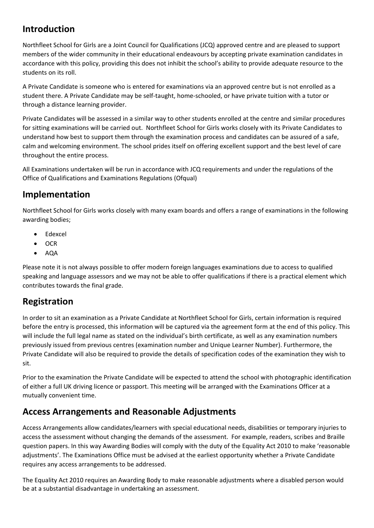## **Introduction**

Northfleet School for Girls are a Joint Council for Qualifications (JCQ) approved centre and are pleased to support members of the wider community in their educational endeavours by accepting private examination candidates in accordance with this policy, providing this does not inhibit the school's ability to provide adequate resource to the students on its roll.

A Private Candidate is someone who is entered for examinations via an approved centre but is not enrolled as a student there. A Private Candidate may be self-taught, home-schooled, or have private tuition with a tutor or through a distance learning provider.

Private Candidates will be assessed in a similar way to other students enrolled at the centre and similar procedures for sitting examinations will be carried out. Northfleet School for Girls works closely with its Private Candidates to understand how best to support them through the examination process and candidates can be assured of a safe, calm and welcoming environment. The school prides itself on offering excellent support and the best level of care throughout the entire process.

All Examinations undertaken will be run in accordance with JCQ requirements and under the regulations of the Office of Qualifications and Examinations Regulations (Ofqual)

## **Implementation**

Northfleet School for Girls works closely with many exam boards and offers a range of examinations in the following awarding bodies;

- Edexcel
- OCR
- AQA

Please note it is not always possible to offer modern foreign languages examinations due to access to qualified speaking and language assessors and we may not be able to offer qualifications if there is a practical element which contributes towards the final grade.

## **Registration**

In order to sit an examination as a Private Candidate at Northfleet School for Girls, certain information is required before the entry is processed, this information will be captured via the agreement form at the end of this policy. This will include the full legal name as stated on the individual's birth certificate, as well as any examination numbers previously issued from previous centres (examination number and Unique Learner Number). Furthermore, the Private Candidate will also be required to provide the details of specification codes of the examination they wish to sit.

Prior to the examination the Private Candidate will be expected to attend the school with photographic identification of either a full UK driving licence or passport. This meeting will be arranged with the Examinations Officer at a mutually convenient time.

## **Access Arrangements and Reasonable Adjustments**

Access Arrangements allow candidates/learners with special educational needs, disabilities or temporary injuries to access the assessment without changing the demands of the assessment. For example, readers, scribes and Braille question papers. In this way Awarding Bodies will comply with the duty of the Equality Act 2010 to make 'reasonable adjustments'. The Examinations Office must be advised at the earliest opportunity whether a Private Candidate requires any access arrangements to be addressed.

The Equality Act 2010 requires an Awarding Body to make reasonable adjustments where a disabled person would be at a substantial disadvantage in undertaking an assessment.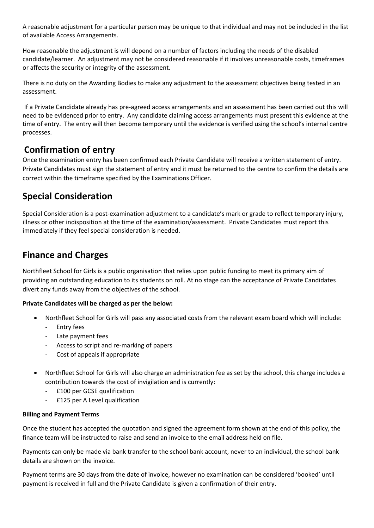A reasonable adjustment for a particular person may be unique to that individual and may not be included in the list of available Access Arrangements.

How reasonable the adjustment is will depend on a number of factors including the needs of the disabled candidate/learner. An adjustment may not be considered reasonable if it involves unreasonable costs, timeframes or affects the security or integrity of the assessment.

There is no duty on the Awarding Bodies to make any adjustment to the assessment objectives being tested in an assessment.

If a Private Candidate already has pre-agreed access arrangements and an assessment has been carried out this will need to be evidenced prior to entry. Any candidate claiming access arrangements must present this evidence at the time of entry. The entry will then become temporary until the evidence is verified using the school's internal centre processes.

## **Confirmation of entry**

Once the examination entry has been confirmed each Private Candidate will receive a written statement of entry. Private Candidates must sign the statement of entry and it must be returned to the centre to confirm the details are correct within the timeframe specified by the Examinations Officer.

## **Special Consideration**

Special Consideration is a post-examination adjustment to a candidate's mark or grade to reflect temporary injury, illness or other indisposition at the time of the examination/assessment. Private Candidates must report this immediately if they feel special consideration is needed.

## **Finance and Charges**

Northfleet School for Girls is a public organisation that relies upon public funding to meet its primary aim of providing an outstanding education to its students on roll. At no stage can the acceptance of Private Candidates divert any funds away from the objectives of the school.

#### **Private Candidates will be charged as per the below:**

- Northfleet School for Girls will pass any associated costs from the relevant exam board which will include:
	- Entry fees
	- Late payment fees
	- Access to script and re-marking of papers
	- Cost of appeals if appropriate
- Northfleet School for Girls will also charge an administration fee as set by the school, this charge includes a contribution towards the cost of invigilation and is currently:
	- £100 per GCSE qualification
	- £125 per A Level qualification

#### **Billing and Payment Terms**

Once the student has accepted the quotation and signed the agreement form shown at the end of this policy, the finance team will be instructed to raise and send an invoice to the email address held on file.

Payments can only be made via bank transfer to the school bank account, never to an individual, the school bank details are shown on the invoice.

Payment terms are 30 days from the date of invoice, however no examination can be considered 'booked' until payment is received in full and the Private Candidate is given a confirmation of their entry.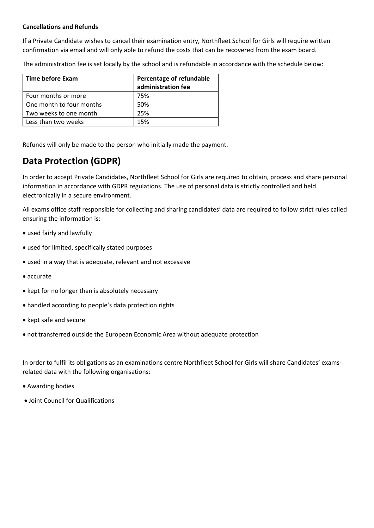#### **Cancellations and Refunds**

If a Private Candidate wishes to cancel their examination entry, Northfleet School for Girls will require written confirmation via email and will only able to refund the costs that can be recovered from the exam board.

The administration fee is set locally by the school and is refundable in accordance with the schedule below:

| Time before Exam         | Percentage of refundable<br>administration fee |
|--------------------------|------------------------------------------------|
| Four months or more      | 75%                                            |
| One month to four months | 50%                                            |
| Two weeks to one month   | 25%                                            |
| Less than two weeks      | 15%                                            |

Refunds will only be made to the person who initially made the payment.

## **Data Protection (GDPR)**

In order to accept Private Candidates, Northfleet School for Girls are required to obtain, process and share personal information in accordance with GDPR regulations. The use of personal data is strictly controlled and held electronically in a secure environment.

All exams office staff responsible for collecting and sharing candidates' data are required to follow strict rules called ensuring the information is:

- used fairly and lawfully
- used for limited, specifically stated purposes
- used in a way that is adequate, relevant and not excessive
- accurate
- kept for no longer than is absolutely necessary
- handled according to people's data protection rights
- kept safe and secure
- not transferred outside the European Economic Area without adequate protection

In order to fulfil its obligations as an examinations centre Northfleet School for Girls will share Candidates' examsrelated data with the following organisations:

- Awarding bodies
- Joint Council for Qualifications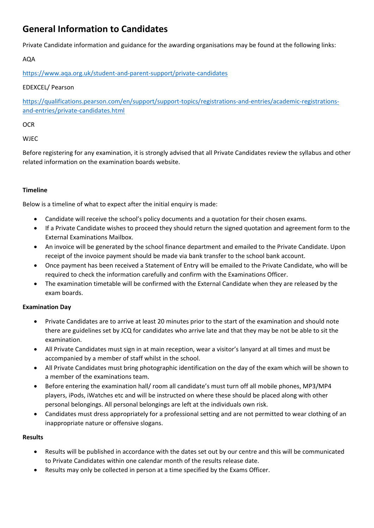## **General Information to Candidates**

Private Candidate information and guidance for the awarding organisations may be found at the following links:

AQA

<https://www.aqa.org.uk/student-and-parent-support/private-candidates>

#### EDEXCEL/ Pearson

[https://qualifications.pearson.com/en/support/support-topics/registrations-and-entries/academic-registrations](https://qualifications.pearson.com/en/support/support-topics/registrations-and-entries/academic-registrations-and-entries/private-candidates.html)[and-entries/private-candidates.html](https://qualifications.pearson.com/en/support/support-topics/registrations-and-entries/academic-registrations-and-entries/private-candidates.html)

#### **OCR**

#### WJEC

Before registering for any examination, it is strongly advised that all Private Candidates review the syllabus and other related information on the examination boards website.

#### **Timeline**

Below is a timeline of what to expect after the initial enquiry is made:

- Candidate will receive the school's policy documents and a quotation for their chosen exams.
- If a Private Candidate wishes to proceed they should return the signed quotation and agreement form to the External Examinations Mailbox.
- An invoice will be generated by the school finance department and emailed to the Private Candidate. Upon receipt of the invoice payment should be made via bank transfer to the school bank account.
- Once payment has been received a Statement of Entry will be emailed to the Private Candidate, who will be required to check the information carefully and confirm with the Examinations Officer.
- The examination timetable will be confirmed with the External Candidate when they are released by the exam boards.

#### **Examination Day**

- Private Candidates are to arrive at least 20 minutes prior to the start of the examination and should note there are guidelines set by JCQ for candidates who arrive late and that they may be not be able to sit the examination.
- All Private Candidates must sign in at main reception, wear a visitor's lanyard at all times and must be accompanied by a member of staff whilst in the school.
- All Private Candidates must bring photographic identification on the day of the exam which will be shown to a member of the examinations team.
- Before entering the examination hall/ room all candidate's must turn off all mobile phones, MP3/MP4 players, iPods, iWatches etc and will be instructed on where these should be placed along with other personal belongings. All personal belongings are left at the individuals own risk.
- Candidates must dress appropriately for a professional setting and are not permitted to wear clothing of an inappropriate nature or offensive slogans.

#### **Results**

- Results will be published in accordance with the dates set out by our centre and this will be communicated to Private Candidates within one calendar month of the results release date.
- Results may only be collected in person at a time specified by the Exams Officer.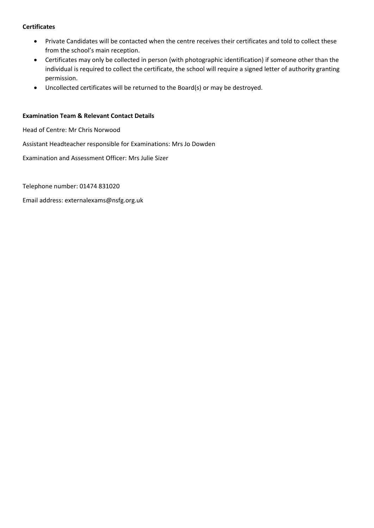#### **Certificates**

- Private Candidates will be contacted when the centre receives their certificates and told to collect these from the school's main reception.
- Certificates may only be collected in person (with photographic identification) if someone other than the individual is required to collect the certificate, the school will require a signed letter of authority granting permission.
- Uncollected certificates will be returned to the Board(s) or may be destroyed.

#### **Examination Team & Relevant Contact Details**

Head of Centre: Mr Chris Norwood

Assistant Headteacher responsible for Examinations: Mrs Jo Dowden

Examination and Assessment Officer: Mrs Julie Sizer

Telephone number: 01474 831020

Email address: externalexams@nsfg.org.uk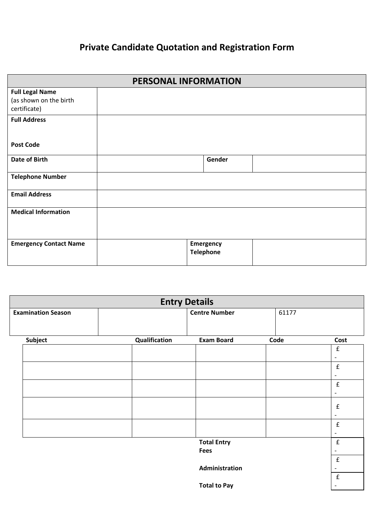## **Private Candidate Quotation and Registration Form**

| PERSONAL INFORMATION                                             |  |                               |  |  |
|------------------------------------------------------------------|--|-------------------------------|--|--|
| <b>Full Legal Name</b><br>(as shown on the birth<br>certificate) |  |                               |  |  |
| <b>Full Address</b>                                              |  |                               |  |  |
| <b>Post Code</b>                                                 |  |                               |  |  |
| <b>Date of Birth</b>                                             |  | Gender                        |  |  |
| <b>Telephone Number</b>                                          |  |                               |  |  |
| <b>Email Address</b>                                             |  |                               |  |  |
| <b>Medical Information</b>                                       |  |                               |  |  |
| <b>Emergency Contact Name</b>                                    |  | Emergency<br><b>Telephone</b> |  |  |

| <b>Entry Details</b>      |                      |               |                     |  |      |                          |
|---------------------------|----------------------|---------------|---------------------|--|------|--------------------------|
| <b>Examination Season</b> | <b>Centre Number</b> |               | 61177               |  |      |                          |
|                           |                      |               |                     |  |      |                          |
| <b>Subject</b>            |                      | Qualification | <b>Exam Board</b>   |  | Code | Cost                     |
|                           |                      |               |                     |  |      | $\mathbf f$              |
|                           |                      |               |                     |  |      | $\overline{\phantom{a}}$ |
|                           |                      |               |                     |  |      | $\mathbf f$              |
|                           |                      |               |                     |  |      | $\overline{\phantom{a}}$ |
|                           |                      |               |                     |  |      | $\mathbf f$              |
|                           |                      |               |                     |  |      | $\overline{\phantom{a}}$ |
|                           |                      |               |                     |  |      | $\mathbf f$              |
|                           |                      |               |                     |  |      | $\overline{\phantom{a}}$ |
|                           |                      |               |                     |  |      | $\mathbf f$              |
|                           |                      |               |                     |  |      | $\overline{\phantom{a}}$ |
|                           |                      |               | <b>Total Entry</b>  |  |      | $\pmb{\mathsf{f}}$       |
|                           |                      |               | <b>Fees</b>         |  |      |                          |
|                           |                      |               |                     |  |      | $\mathbf f$              |
|                           |                      |               | Administration      |  |      |                          |
|                           |                      |               |                     |  |      | $\pmb{\mathrm{f}}$       |
|                           |                      |               | <b>Total to Pay</b> |  |      |                          |